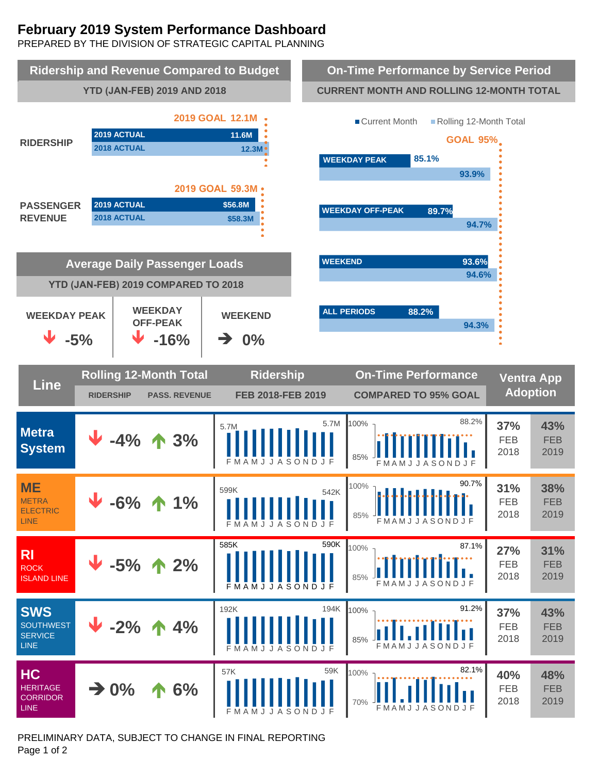# **February 2019 System Performance Dashboard**

PREPARED BY THE DIVISION OF STRATEGIC CAPITAL PLANNING



PRELIMINARY DATA, SUBJECT TO CHANGE IN FINAL REPORTING Page 1 of 2